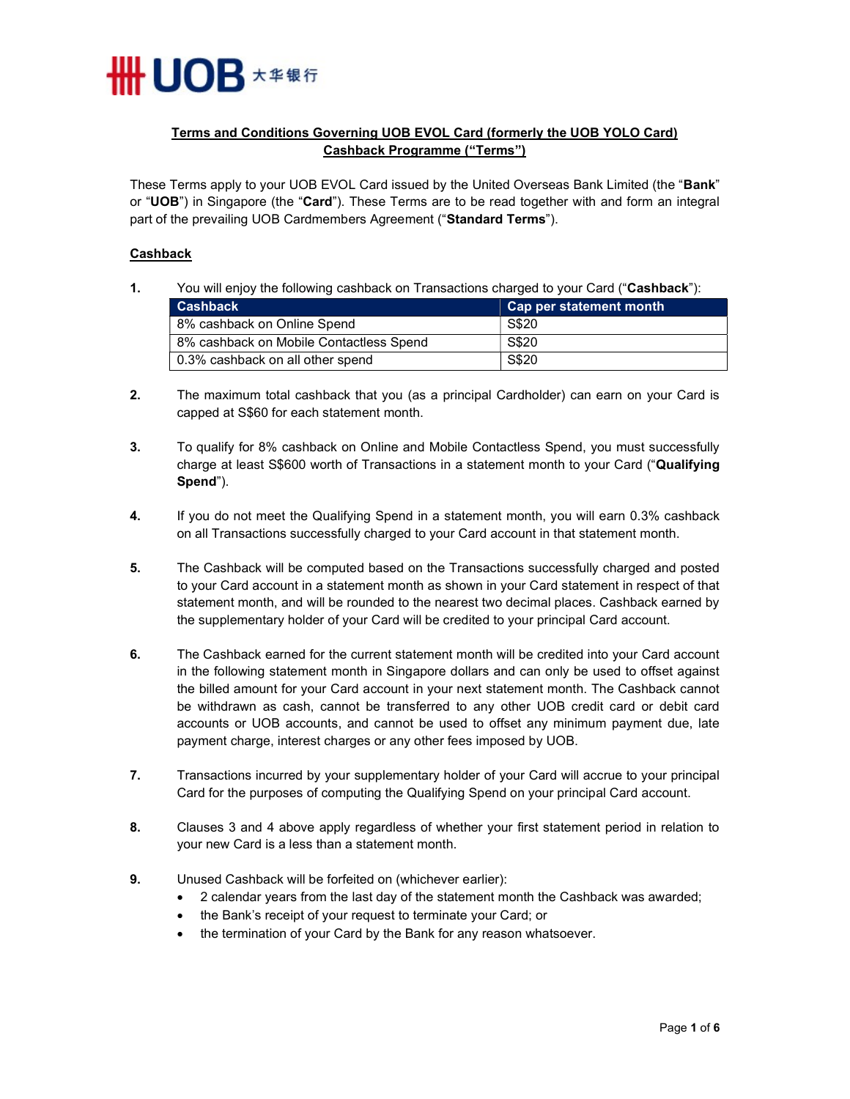

# Terms and Conditions Governing UOB EVOL Card (formerly the UOB YOLO Card) Cashback Programme ("Terms")

These Terms apply to your UOB EVOL Card issued by the United Overseas Bank Limited (the "Bank" or "UOB") in Singapore (the "Card"). These Terms are to be read together with and form an integral part of the prevailing UOB Cardmembers Agreement ("Standard Terms").

### Cashback

1. You will enjoy the following cashback on Transactions charged to your Card ("Cashback"):

| <b>Cashback</b>                         | Cap per statement month |
|-----------------------------------------|-------------------------|
| 8% cashback on Online Spend             | S\$20                   |
| 8% cashback on Mobile Contactless Spend | S\$20                   |
| 0.3% cashback on all other spend        | S\$20                   |

- 2. The maximum total cashback that you (as a principal Cardholder) can earn on your Card is capped at S\$60 for each statement month.
- 3. To qualify for 8% cashback on Online and Mobile Contactless Spend, you must successfully charge at least S\$600 worth of Transactions in a statement month to your Card ("Qualifying Spend").
- 4. If you do not meet the Qualifying Spend in a statement month, you will earn 0.3% cashback on all Transactions successfully charged to your Card account in that statement month.
- 5. The Cashback will be computed based on the Transactions successfully charged and posted to your Card account in a statement month as shown in your Card statement in respect of that statement month, and will be rounded to the nearest two decimal places. Cashback earned by the supplementary holder of your Card will be credited to your principal Card account.
- 6. The Cashback earned for the current statement month will be credited into your Card account in the following statement month in Singapore dollars and can only be used to offset against the billed amount for your Card account in your next statement month. The Cashback cannot be withdrawn as cash, cannot be transferred to any other UOB credit card or debit card accounts or UOB accounts, and cannot be used to offset any minimum payment due, late payment charge, interest charges or any other fees imposed by UOB.
- 7. Transactions incurred by your supplementary holder of your Card will accrue to your principal Card for the purposes of computing the Qualifying Spend on your principal Card account.
- 8. Clauses 3 and 4 above apply regardless of whether your first statement period in relation to your new Card is a less than a statement month.
- 9. Unused Cashback will be forfeited on (whichever earlier):
	- 2 calendar years from the last day of the statement month the Cashback was awarded;
	- the Bank's receipt of your request to terminate your Card; or
	- the termination of your Card by the Bank for any reason whatsoever.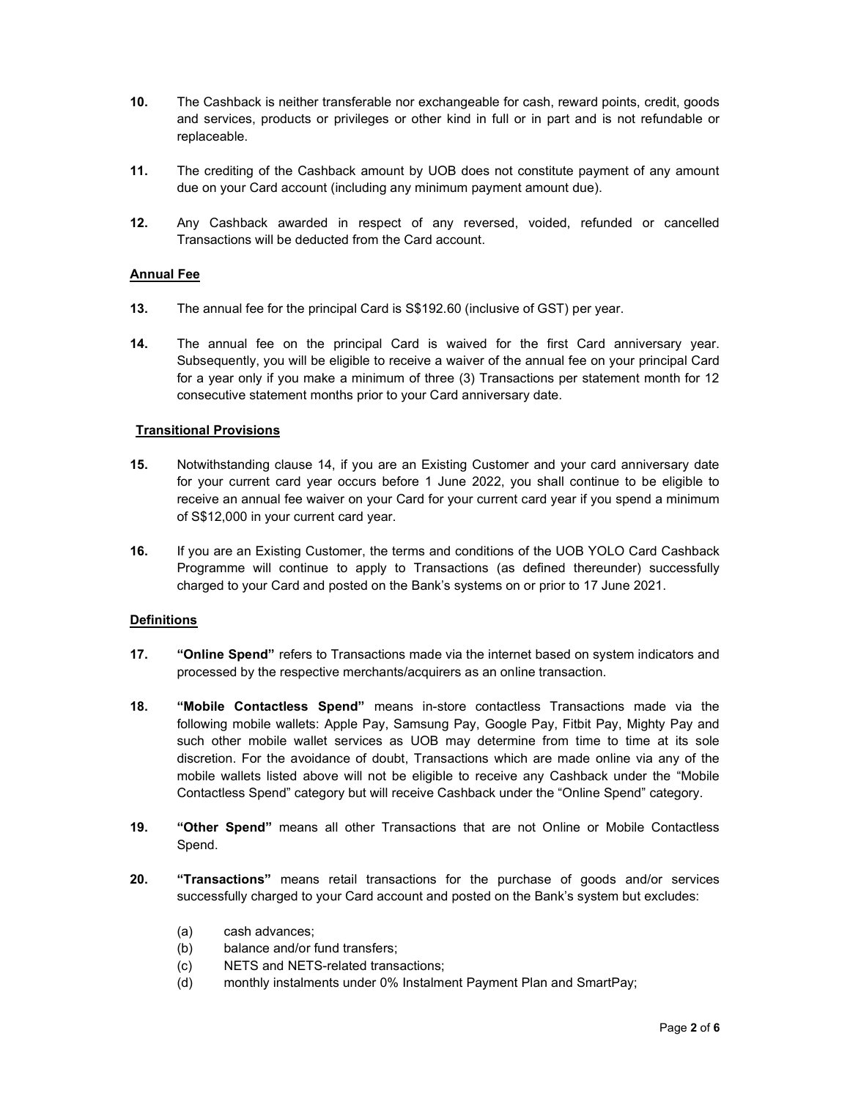- 10. The Cashback is neither transferable nor exchangeable for cash, reward points, credit, goods and services, products or privileges or other kind in full or in part and is not refundable or replaceable.
- 11. The crediting of the Cashback amount by UOB does not constitute payment of any amount due on your Card account (including any minimum payment amount due).
- 12. Any Cashback awarded in respect of any reversed, voided, refunded or cancelled Transactions will be deducted from the Card account.

## Annual Fee

- 13. The annual fee for the principal Card is S\$192.60 (inclusive of GST) per year.
- 14. The annual fee on the principal Card is waived for the first Card anniversary year. Subsequently, you will be eligible to receive a waiver of the annual fee on your principal Card for a year only if you make a minimum of three (3) Transactions per statement month for 12 consecutive statement months prior to your Card anniversary date.

## Transitional Provisions

- 15. Notwithstanding clause 14, if you are an Existing Customer and your card anniversary date for your current card year occurs before 1 June 2022, you shall continue to be eligible to receive an annual fee waiver on your Card for your current card year if you spend a minimum of S\$12,000 in your current card year.
- 16. If you are an Existing Customer, the terms and conditions of the UOB YOLO Card Cashback Programme will continue to apply to Transactions (as defined thereunder) successfully charged to your Card and posted on the Bank's systems on or prior to 17 June 2021.

## **Definitions**

- 17. "Online Spend" refers to Transactions made via the internet based on system indicators and processed by the respective merchants/acquirers as an online transaction.
- 18. "Mobile Contactless Spend" means in-store contactless Transactions made via the following mobile wallets: Apple Pay, Samsung Pay, Google Pay, Fitbit Pay, Mighty Pay and such other mobile wallet services as UOB may determine from time to time at its sole discretion. For the avoidance of doubt, Transactions which are made online via any of the mobile wallets listed above will not be eligible to receive any Cashback under the "Mobile Contactless Spend" category but will receive Cashback under the "Online Spend" category.
- 19. "Other Spend" means all other Transactions that are not Online or Mobile Contactless Spend.
- 20. "Transactions" means retail transactions for the purchase of goods and/or services successfully charged to your Card account and posted on the Bank's system but excludes:
	- (a) cash advances;
	- (b) balance and/or fund transfers;
	- (c) NETS and NETS-related transactions;
	- (d) monthly instalments under 0% Instalment Payment Plan and SmartPay;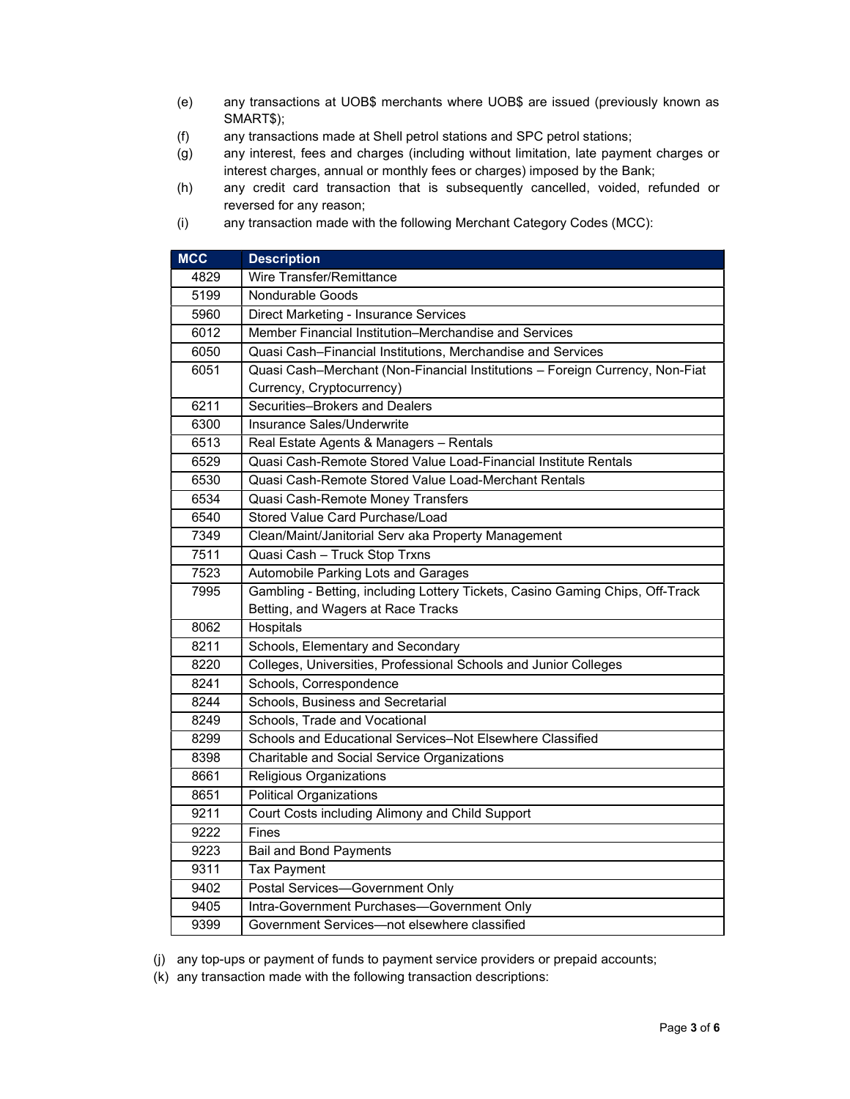- (e) any transactions at UOB\$ merchants where UOB\$ are issued (previously known as SMART\$);
- (f) any transactions made at Shell petrol stations and SPC petrol stations;
- (g) any interest, fees and charges (including without limitation, late payment charges or interest charges, annual or monthly fees or charges) imposed by the Bank;
- (h) any credit card transaction that is subsequently cancelled, voided, refunded or reversed for any reason;
- (i) any transaction made with the following Merchant Category Codes (MCC):

| <b>MCC</b> | <b>Description</b>                                                            |  |  |
|------------|-------------------------------------------------------------------------------|--|--|
| 4829       | Wire Transfer/Remittance                                                      |  |  |
| 5199       | Nondurable Goods                                                              |  |  |
| 5960       | Direct Marketing - Insurance Services                                         |  |  |
| 6012       | Member Financial Institution-Merchandise and Services                         |  |  |
| 6050       | Quasi Cash-Financial Institutions, Merchandise and Services                   |  |  |
| 6051       | Quasi Cash-Merchant (Non-Financial Institutions - Foreign Currency, Non-Fiat  |  |  |
|            | Currency, Cryptocurrency)                                                     |  |  |
| 6211       | Securities-Brokers and Dealers                                                |  |  |
| 6300       | Insurance Sales/Underwrite                                                    |  |  |
| 6513       | Real Estate Agents & Managers - Rentals                                       |  |  |
| 6529       | Quasi Cash-Remote Stored Value Load-Financial Institute Rentals               |  |  |
| 6530       | Quasi Cash-Remote Stored Value Load-Merchant Rentals                          |  |  |
| 6534       | Quasi Cash-Remote Money Transfers                                             |  |  |
| 6540       | Stored Value Card Purchase/Load                                               |  |  |
| 7349       | Clean/Maint/Janitorial Serv aka Property Management                           |  |  |
| 7511       | Quasi Cash - Truck Stop Trxns                                                 |  |  |
| 7523       | Automobile Parking Lots and Garages                                           |  |  |
| 7995       | Gambling - Betting, including Lottery Tickets, Casino Gaming Chips, Off-Track |  |  |
|            | Betting, and Wagers at Race Tracks                                            |  |  |
| 8062       | Hospitals                                                                     |  |  |
| 8211       | Schools, Elementary and Secondary                                             |  |  |
| 8220       | Colleges, Universities, Professional Schools and Junior Colleges              |  |  |
| 8241       | Schools, Correspondence                                                       |  |  |
| 8244       | Schools, Business and Secretarial                                             |  |  |
| 8249       | Schools, Trade and Vocational                                                 |  |  |
| 8299       | Schools and Educational Services-Not Elsewhere Classified                     |  |  |
| 8398       | Charitable and Social Service Organizations                                   |  |  |
| 8661       | Religious Organizations                                                       |  |  |
| 8651       | <b>Political Organizations</b>                                                |  |  |
| 9211       | Court Costs including Alimony and Child Support                               |  |  |
| 9222       | Fines                                                                         |  |  |
| 9223       | <b>Bail and Bond Payments</b>                                                 |  |  |
| 9311       | Tax Payment                                                                   |  |  |
| 9402       | Postal Services-Government Only                                               |  |  |
| 9405       | Intra-Government Purchases-Government Only                                    |  |  |
| 9399       | Government Services-not elsewhere classified                                  |  |  |

(j) any top-ups or payment of funds to payment service providers or prepaid accounts;

(k) any transaction made with the following transaction descriptions: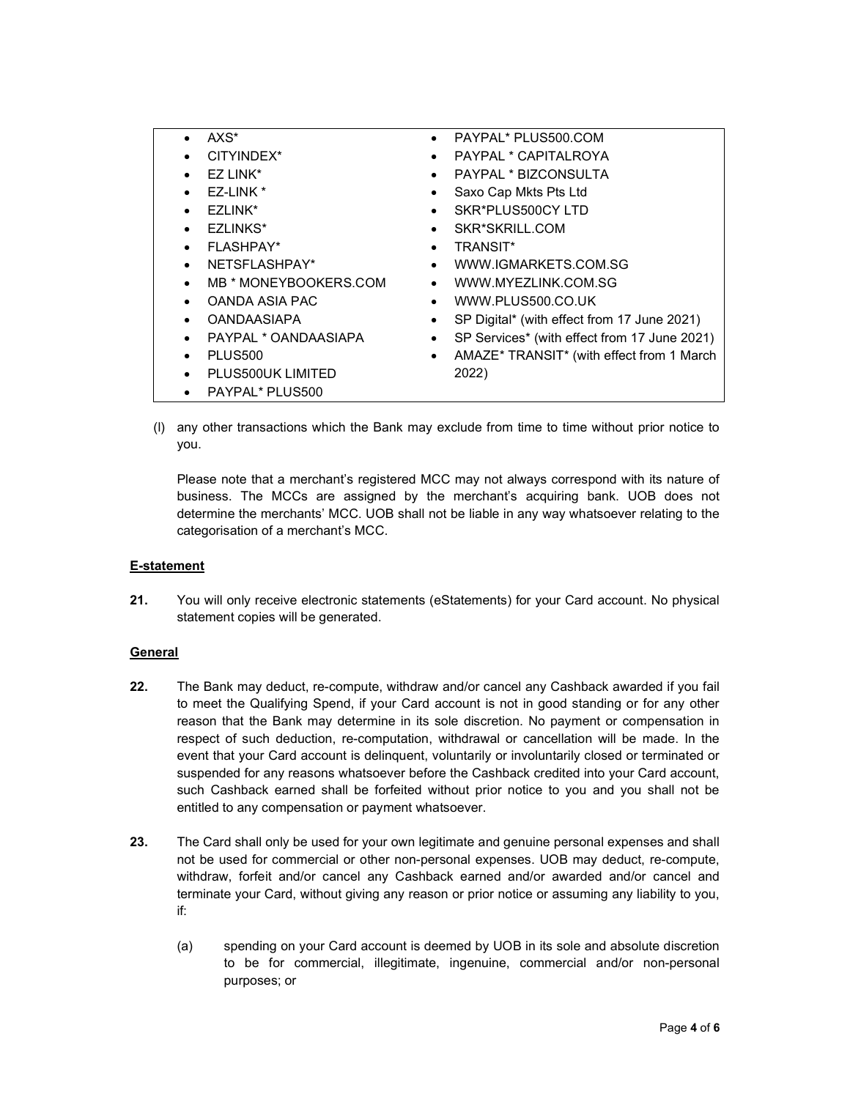| AXS*                              | $\bullet$ | PAYPAL* PLUS500.COM                          |
|-----------------------------------|-----------|----------------------------------------------|
| CITYINDEX*<br>$\bullet$           | $\bullet$ | PAYPAL * CAPITALROYA                         |
| $FZ$ $LNK^*$                      | $\bullet$ | <b>PAYPAL * BIZCONSULTA</b>                  |
| EZ-LINK *                         | ٠         | Saxo Cap Mkts Pts Ltd                        |
| EZLINK*                           |           | SKR*PLUS500CY LTD                            |
| <b>EZLINKS*</b><br>$\bullet$      | $\bullet$ | SKR*SKRILL.COM                               |
| FLASHPAY*                         |           | TRANSIT*                                     |
| NETSFLASHPAY*<br>$\bullet$        | $\bullet$ | WWW.IGMARKETS.COM.SG                         |
| MB * MONEYBOOKERS.COM             | $\bullet$ | WWW.MYEZLINK.COM.SG                          |
| OANDA ASIA PAC<br>$\bullet$       | $\bullet$ | WWW.PLUS500.CO.UK                            |
| <b>OANDAASIAPA</b>                | ٠         | SP Digital* (with effect from 17 June 2021)  |
| PAYPAL * OANDAASIAPA<br>$\bullet$ | $\bullet$ | SP Services* (with effect from 17 June 2021) |
| <b>PLUS500</b>                    | ٠         | AMAZE* TRANSIT* (with effect from 1 March    |
| PLUS500UK LIMITED<br>$\bullet$    |           | 2022)                                        |
| PAYPAL* PLUS500<br>$\bullet$      |           |                                              |

(l) any other transactions which the Bank may exclude from time to time without prior notice to you.

Please note that a merchant's registered MCC may not always correspond with its nature of business. The MCCs are assigned by the merchant's acquiring bank. UOB does not determine the merchants' MCC. UOB shall not be liable in any way whatsoever relating to the categorisation of a merchant's MCC.

## E-statement

21. You will only receive electronic statements (eStatements) for your Card account. No physical statement copies will be generated.

## General

- 22. The Bank may deduct, re-compute, withdraw and/or cancel any Cashback awarded if you fail to meet the Qualifying Spend, if your Card account is not in good standing or for any other reason that the Bank may determine in its sole discretion. No payment or compensation in respect of such deduction, re-computation, withdrawal or cancellation will be made. In the event that your Card account is delinquent, voluntarily or involuntarily closed or terminated or suspended for any reasons whatsoever before the Cashback credited into your Card account, such Cashback earned shall be forfeited without prior notice to you and you shall not be entitled to any compensation or payment whatsoever.
- 23. The Card shall only be used for your own legitimate and genuine personal expenses and shall not be used for commercial or other non-personal expenses. UOB may deduct, re-compute, withdraw, forfeit and/or cancel any Cashback earned and/or awarded and/or cancel and terminate your Card, without giving any reason or prior notice or assuming any liability to you, if:
	- (a) spending on your Card account is deemed by UOB in its sole and absolute discretion to be for commercial, illegitimate, ingenuine, commercial and/or non-personal purposes; or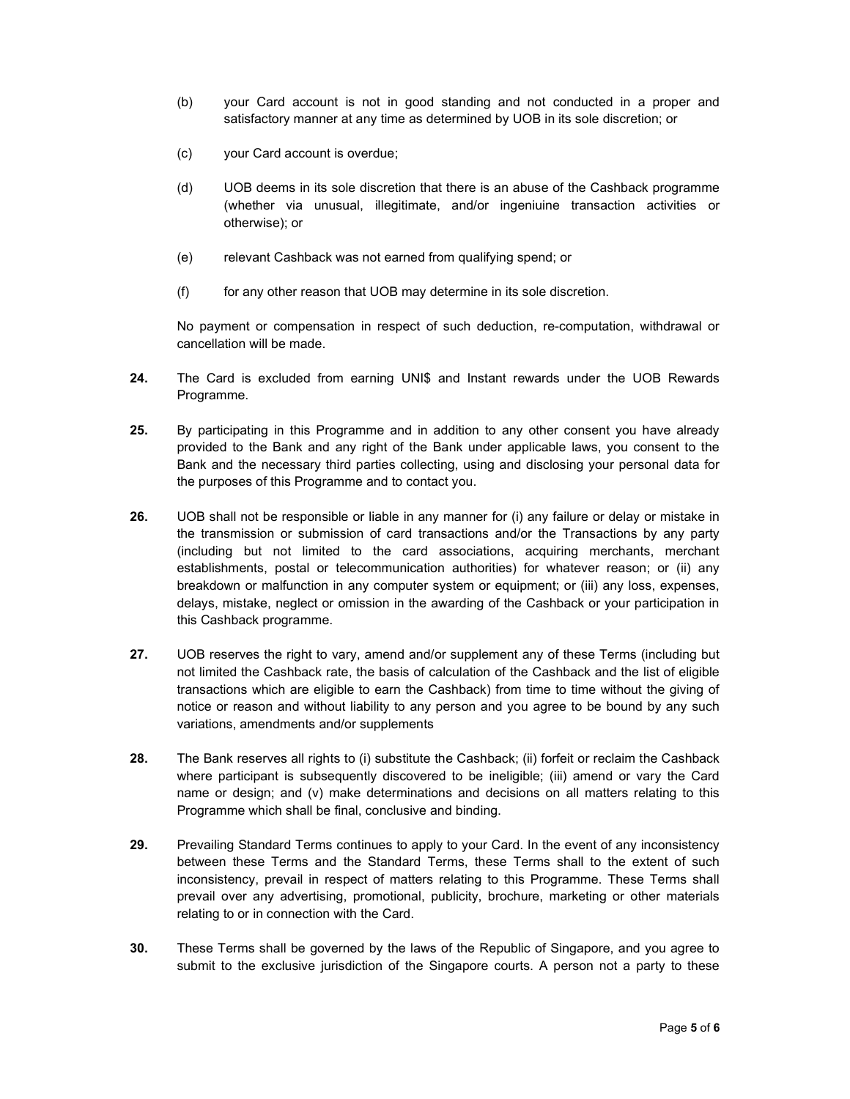- (b) your Card account is not in good standing and not conducted in a proper and satisfactory manner at any time as determined by UOB in its sole discretion; or
- (c) your Card account is overdue;
- (d) UOB deems in its sole discretion that there is an abuse of the Cashback programme (whether via unusual, illegitimate, and/or ingeniuine transaction activities or otherwise); or
- (e) relevant Cashback was not earned from qualifying spend; or
- (f) for any other reason that UOB may determine in its sole discretion.

No payment or compensation in respect of such deduction, re-computation, withdrawal or cancellation will be made.

- 24. The Card is excluded from earning UNI\$ and Instant rewards under the UOB Rewards Programme.
- 25. By participating in this Programme and in addition to any other consent you have already provided to the Bank and any right of the Bank under applicable laws, you consent to the Bank and the necessary third parties collecting, using and disclosing your personal data for the purposes of this Programme and to contact you.
- 26. UOB shall not be responsible or liable in any manner for (i) any failure or delay or mistake in the transmission or submission of card transactions and/or the Transactions by any party (including but not limited to the card associations, acquiring merchants, merchant establishments, postal or telecommunication authorities) for whatever reason; or (ii) any breakdown or malfunction in any computer system or equipment; or (iii) any loss, expenses, delays, mistake, neglect or omission in the awarding of the Cashback or your participation in this Cashback programme.
- 27. UOB reserves the right to vary, amend and/or supplement any of these Terms (including but not limited the Cashback rate, the basis of calculation of the Cashback and the list of eligible transactions which are eligible to earn the Cashback) from time to time without the giving of notice or reason and without liability to any person and you agree to be bound by any such variations, amendments and/or supplements
- 28. The Bank reserves all rights to (i) substitute the Cashback; (ii) forfeit or reclaim the Cashback where participant is subsequently discovered to be ineligible; (iii) amend or vary the Card name or design; and (v) make determinations and decisions on all matters relating to this Programme which shall be final, conclusive and binding.
- 29. Prevailing Standard Terms continues to apply to your Card. In the event of any inconsistency between these Terms and the Standard Terms, these Terms shall to the extent of such inconsistency, prevail in respect of matters relating to this Programme. These Terms shall prevail over any advertising, promotional, publicity, brochure, marketing or other materials relating to or in connection with the Card.
- 30. These Terms shall be governed by the laws of the Republic of Singapore, and you agree to submit to the exclusive jurisdiction of the Singapore courts. A person not a party to these